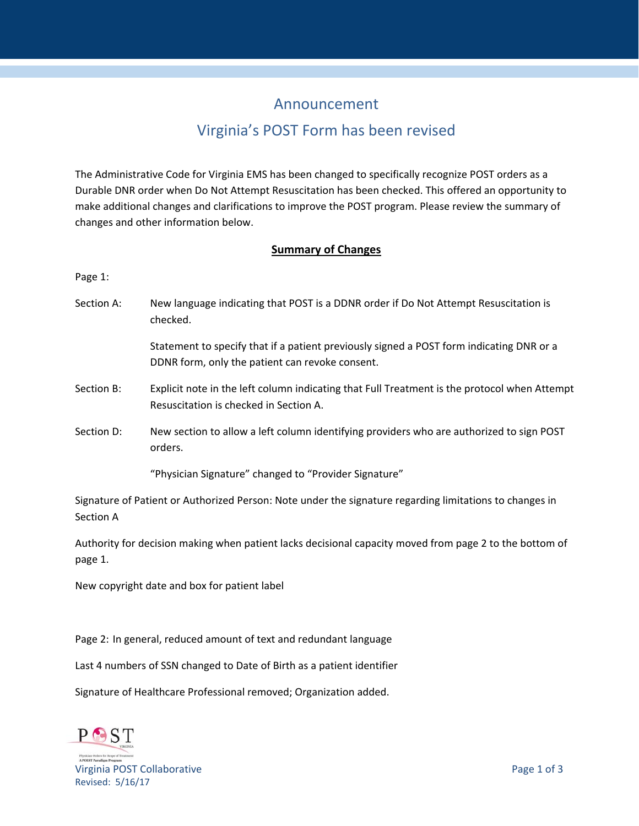# Announcement

# Virginia's POST Form has been revised

The Administrative Code for Virginia EMS has been changed to specifically recognize POST orders as a Durable DNR order when Do Not Attempt Resuscitation has been checked. This offered an opportunity to make additional changes and clarifications to improve the POST program. Please review the summary of changes and other information below.

## **Summary of Changes**

Page 1:

Section A: New language indicating that POST is a DDNR order if Do Not Attempt Resuscitation is checked.

> Statement to specify that if a patient previously signed a POST form indicating DNR or a DDNR form, only the patient can revoke consent.

- Section B: Explicit note in the left column indicating that Full Treatment is the protocol when Attempt Resuscitation is checked in Section A.
- Section D: New section to allow a left column identifying providers who are authorized to sign POST orders.

"Physician Signature" changed to "Provider Signature"

Signature of Patient or Authorized Person: Note under the signature regarding limitations to changes in Section A

Authority for decision making when patient lacks decisional capacity moved from page 2 to the bottom of page 1.

New copyright date and box for patient label

Page 2: In general, reduced amount of text and redundant language

Last 4 numbers of SSN changed to Date of Birth as a patient identifier

Signature of Healthcare Professional removed; Organization added.

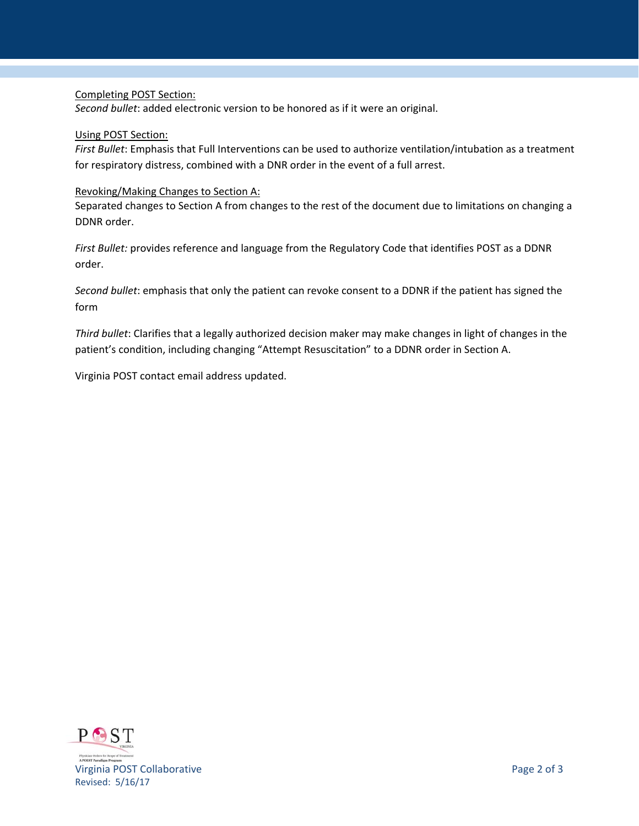### Completing POST Section:

*Second bullet*: added electronic version to be honored as if it were an original.

#### Using POST Section:

*First Bullet*: Emphasis that Full Interventions can be used to authorize ventilation/intubation as a treatment for respiratory distress, combined with a DNR order in the event of a full arrest.

### Revoking/Making Changes to Section A:

Separated changes to Section A from changes to the rest of the document due to limitations on changing a DDNR order.

*First Bullet:* provides reference and language from the Regulatory Code that identifies POST as a DDNR order.

*Second bullet*: emphasis that only the patient can revoke consent to a DDNR if the patient has signed the form

*Third bullet*: Clarifies that a legally authorized decision maker may make changes in light of changes in the patient's condition, including changing "Attempt Resuscitation" to a DDNR order in Section A.

Virginia POST contact email address updated.